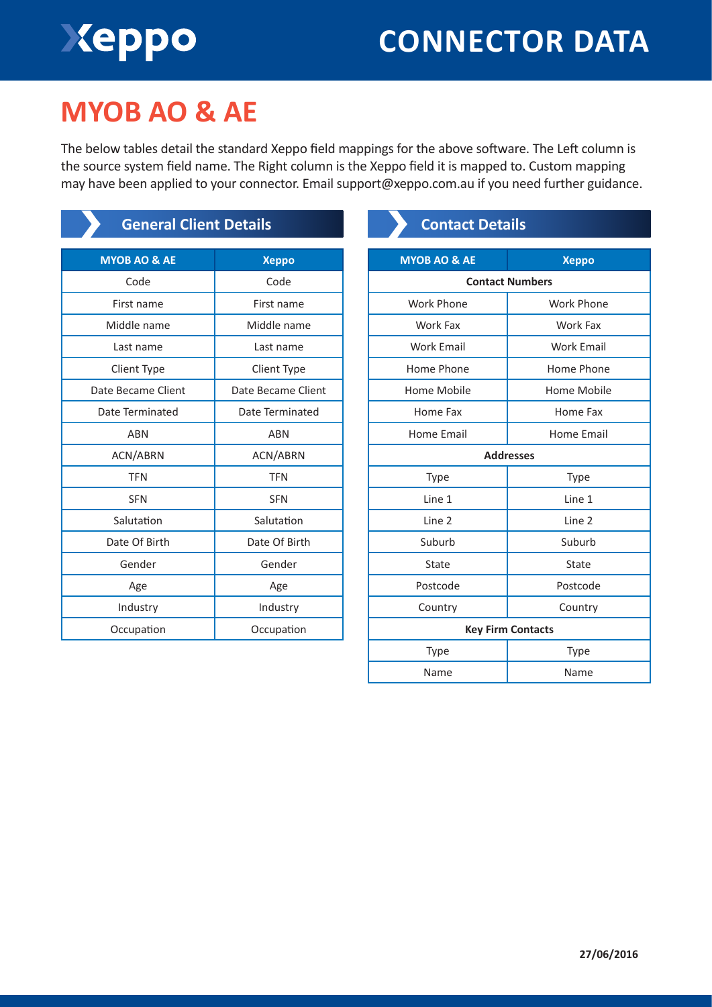# Xeppo

# **CONNECTOR DATA**

# **MYOB AO & AE**

The below tables detail the standard Xeppo field mappings for the above software. The Left column is the source system field name. The Right column is the Xeppo field it is mapped to. Custom mapping may have been applied to your connector. Email support@xeppo.com.au if you need further guidance.

| <b>General Client Details</b> |                    |  |
|-------------------------------|--------------------|--|
| <b>MYOB AO &amp; AE</b>       | <b>Xeppo</b>       |  |
| Code                          | Code               |  |
| First name                    | First name         |  |
| Middle name                   | Middle name        |  |
| Last name                     | Last name          |  |
| Client Type                   | Client Type        |  |
| Date Became Client            | Date Became Client |  |
| Date Terminated               | Date Terminated    |  |
| <b>ABN</b>                    | <b>ABN</b>         |  |
| <b>ACN/ABRN</b>               | ACN/ABRN           |  |
| <b>TFN</b>                    | <b>TFN</b>         |  |
| <b>SFN</b>                    | <b>SFN</b>         |  |
| Salutation                    | Salutation         |  |
| Date Of Birth                 | Date Of Birth      |  |
| Gender                        | Gender             |  |
| Age                           | Age                |  |
| Industry                      | Industry           |  |
| Occupation                    | Occupation         |  |

### **Contact Details**

| <b>Xeppo</b>             |  |  |
|--------------------------|--|--|
| <b>Contact Numbers</b>   |  |  |
| <b>Work Phone</b>        |  |  |
| Work Fax                 |  |  |
| <b>Work Email</b>        |  |  |
| Home Phone               |  |  |
| Home Mobile              |  |  |
| Home Fax                 |  |  |
| Home Email               |  |  |
| <b>Addresses</b>         |  |  |
| Type                     |  |  |
| Line 1                   |  |  |
| Line 2                   |  |  |
| Suburb                   |  |  |
| State                    |  |  |
| Postcode                 |  |  |
| Country                  |  |  |
| <b>Key Firm Contacts</b> |  |  |
| <b>Type</b>              |  |  |
| Name                     |  |  |
|                          |  |  |